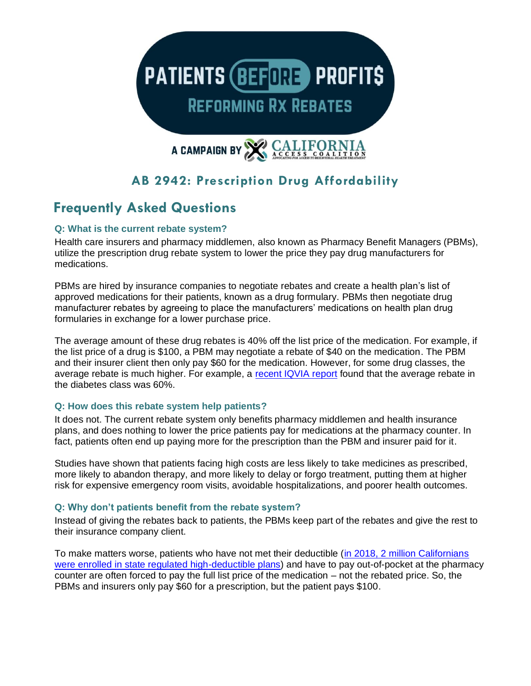

# **AB 2942: Prescription Drug Affordability**

# **Frequently Asked Questions**

# **Q: What is the current rebate system?**

Health care insurers and pharmacy middlemen, also known as Pharmacy Benefit Managers (PBMs), utilize the prescription drug rebate system to lower the price they pay drug manufacturers for medications.

PBMs are hired by insurance companies to negotiate rebates and create a health plan's list of approved medications for their patients, known as a drug formulary. PBMs then negotiate drug manufacturer rebates by agreeing to place the manufacturers' medications on health plan drug formularies in exchange for a lower purchase price.

The average amount of these drug rebates is 40% off the list price of the medication. For example, if the list price of a drug is \$100, a PBM may negotiate a rebate of \$40 on the medication. The PBM and their insurer client then only pay \$60 for the medication. However, for some drug classes, the average rebate is much higher. For example, a [recent IQVIA report](https://www.iqvia.com/insights/the-iqvia-institute/reports/the-use-of-medicines-in-the-us) found that the average rebate in the diabetes class was 60%.

# **Q: How does this rebate system help patients?**

It does not. The current rebate system only benefits pharmacy middlemen and health insurance plans, and does nothing to lower the price patients pay for medications at the pharmacy counter. In fact, patients often end up paying more for the prescription than the PBM and insurer paid for it.

Studies have shown that patients facing high costs are less likely to take medicines as prescribed, more likely to abandon therapy, and more likely to delay or forgo treatment, putting them at higher risk for expensive emergency room visits, avoidable hospitalizations, and poorer health outcomes.

# **Q: Why don't patients benefit from the rebate system?**

Instead of giving the rebates back to patients, the PBMs keep part of the rebates and give the rest to their insurance company client.

To make matters worse, patients who have not met their deductible [\(in 2018, 2 million Californians](https://www.dmhc.ca.gov/Portals/0/Docs/DO/2018SB17PrescriptionDrugTransparencyReport.pdf)  [were enrolled in state regulated high-deductible plans\)](https://www.dmhc.ca.gov/Portals/0/Docs/DO/2018SB17PrescriptionDrugTransparencyReport.pdf) and have to pay out-of-pocket at the pharmacy counter are often forced to pay the full list price of the medication – not the rebated price. So, the PBMs and insurers only pay \$60 for a prescription, but the patient pays \$100.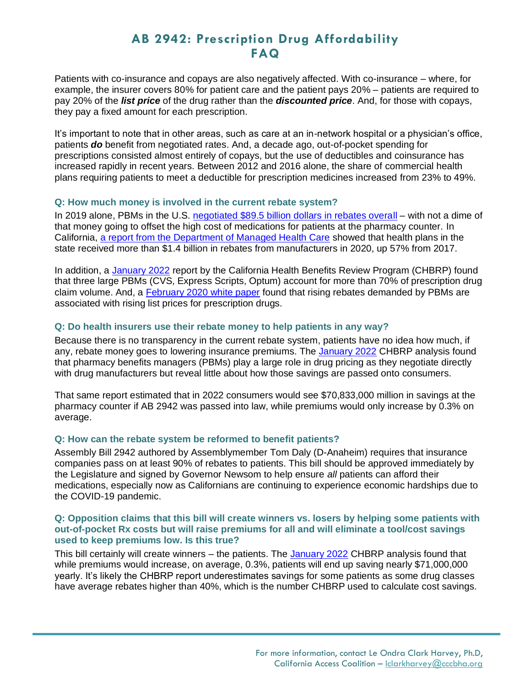# **AB 2942: Prescription Drug Affordability FAQ**

Patients with co-insurance and copays are also negatively affected. With co-insurance – where, for example, the insurer covers 80% for patient care and the patient pays 20% – patients are required to pay 20% of the *list price* of the drug rather than the *discounted price*. And, for those with copays, they pay a fixed amount for each prescription.

It's important to note that in other areas, such as care at an in-network hospital or a physician's office, patients *do* benefit from negotiated rates. And, a decade ago, out-of-pocket spending for prescriptions consisted almost entirely of copays, but the use of deductibles and coinsurance has increased rapidly in recent years. Between 2012 and 2016 alone, the share of commercial health plans requiring patients to meet a deductible for prescription medicines increased from 23% to 49%.

# **Q: How much money is involved in the current rebate system?**

In 2019 alone, PBMs in the U.S. [negotiated \\$89.5 billion dollars in rebates overall](https://www.pewtrusts.org/en/research-and-analysis/reports/2019/03/08/the-prescription-drug-landscape-explored) – with not a dime of that money going to offset the high cost of medications for patients at the pharmacy counter. In California, [a report from the Department of Managed Health Care](https://www.dmhc.ca.gov/portals/0/Docs/DO/SB17-2020ReportAccessible.pdf) showed that health plans in the state received more than \$1.4 billion in rebates from manufacturers in 2020, up 57% from 2017.

In addition, a [January 2022](http://analyses.chbrp.com/document/view.php?id=1634) report by the California Health Benefits Review Program (CHBRP) found that three large PBMs (CVS, Express Scripts, Optum) account for more than 70% of prescription drug claim volume. And, a [February 2020 white paper](https://healthpolicy.usc.edu/research/the-association-between-drug-rebates-and-list-prices/) found that rising rebates demanded by PBMs are associated with rising list prices for prescription drugs.

# **Q: Do health insurers use their rebate money to help patients in any way?**

Because there is no transparency in the current rebate system, patients have no idea how much, if any, rebate money goes to lowering insurance premiums. The [January 2022](http://analyses.chbrp.com/document/view.php?id=1634) CHBRP analysis found that pharmacy benefits managers (PBMs) play a large role in drug pricing as they negotiate directly with drug manufacturers but reveal little about how those savings are passed onto consumers.

That same report estimated that in 2022 consumers would see \$70,833,000 million in savings at the pharmacy counter if AB 2942 was passed into law, while premiums would only increase by 0.3% on average.

# **Q: How can the rebate system be reformed to benefit patients?**

Assembly Bill 2942 authored by Assemblymember Tom Daly (D-Anaheim) requires that insurance companies pass on at least 90% of rebates to patients. This bill should be approved immediately by the Legislature and signed by Governor Newsom to help ensure *all* patients can afford their medications, especially now as Californians are continuing to experience economic hardships due to the COVID-19 pandemic.

#### **Q: Opposition claims that this bill will create winners vs. losers by helping some patients with out-of-pocket Rx costs but will raise premiums for all and will eliminate a tool/cost savings used to keep premiums low. Is this true?**

This bill certainly will create winners – the patients. The [January 2022](http://analyses.chbrp.com/document/view.php?id=1634) CHBRP analysis found that while premiums would increase, on average, 0.3%, patients will end up saving nearly \$71,000,000 yearly. It's likely the CHBRP report underestimates savings for some patients as some drug classes have average rebates higher than 40%, which is the number CHBRP used to calculate cost savings.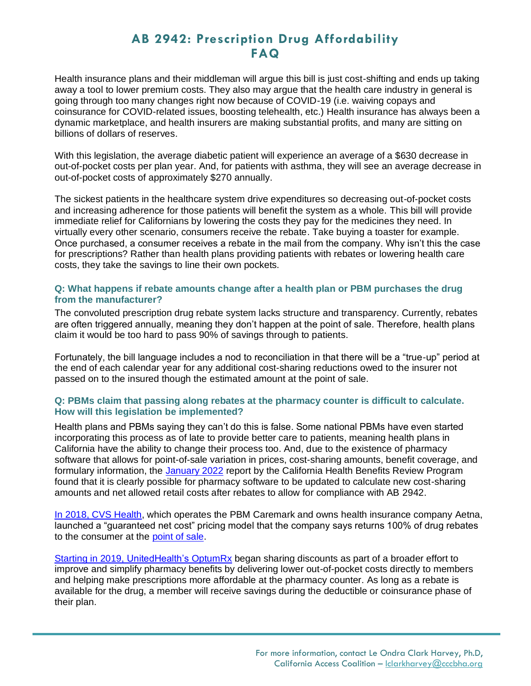# **AB 2942: Prescription Drug Affordability FAQ**

Health insurance plans and their middleman will argue this bill is just cost-shifting and ends up taking away a tool to lower premium costs. They also may argue that the health care industry in general is going through too many changes right now because of COVID-19 (i.e. waiving copays and coinsurance for COVID-related issues, boosting telehealth, etc.) Health insurance has always been a dynamic marketplace, and health insurers are making substantial profits, and many are sitting on billions of dollars of reserves.

With this legislation, the average diabetic patient will experience an average of a \$630 decrease in out-of-pocket costs per plan year. And, for patients with asthma, they will see an average decrease in out-of-pocket costs of approximately \$270 annually.

The sickest patients in the healthcare system drive expenditures so decreasing out-of-pocket costs and increasing adherence for those patients will benefit the system as a whole. This bill will provide immediate relief for Californians by lowering the costs they pay for the medicines they need. In virtually every other scenario, consumers receive the rebate. Take buying a toaster for example. Once purchased, a consumer receives a rebate in the mail from the company. Why isn't this the case for prescriptions? Rather than health plans providing patients with rebates or lowering health care costs, they take the savings to line their own pockets.

### **Q: What happens if rebate amounts change after a health plan or PBM purchases the drug from the manufacturer?**

The convoluted prescription drug rebate system lacks structure and transparency. Currently, rebates are often triggered annually, meaning they don't happen at the point of sale. Therefore, health plans claim it would be too hard to pass 90% of savings through to patients.

Fortunately, the bill language includes a nod to reconciliation in that there will be a "true-up" period at the end of each calendar year for any additional cost-sharing reductions owed to the insurer not passed on to the insured though the estimated amount at the point of sale.

#### **Q: PBMs claim that passing along rebates at the pharmacy counter is difficult to calculate. How will this legislation be implemented?**

Health plans and PBMs saying they can't do this is false. Some national PBMs have even started incorporating this process as of late to provide better care to patients, meaning health plans in California have the ability to change their process too. And, due to the existence of pharmacy software that allows for point-of-sale variation in prices, cost-sharing amounts, benefit coverage, and formulary information, the [January 2022](http://analyses.chbrp.com/document/view.php?id=1634) report by the California Health Benefits Review Program found that it is clearly possible for pharmacy software to be updated to calculate new cost-sharing amounts and net allowed retail costs after rebates to allow for compliance with AB 2942.

[In 2018, CVS Health,](https://www.forbes.com/sites/brucejapsen/2018/12/05/cvs-to-return-100-of-drug-rebates-under-new-pbm-price-model/?sh=6bc37610e3a7) which operates the PBM Caremark and owns health insurance company Aetna, launched a "guaranteed net cost" pricing model that the company says returns 100% of drug rebates to the consumer at the [point of sale.](https://cvshealth.com/news-and-insights/press-releases/aetna-to-provide-pharmacy-rebates-at-time-of-sale-encourages)

[Starting in 2019, UnitedHealth's](https://www.optum.com/business/resources/library/point-of-sale.html) OptumRx began sharing discounts as part of a broader effort to improve and simplify pharmacy benefits by delivering lower out-of-pocket costs directly to members and helping make prescriptions more affordable at the pharmacy counter. As long as a rebate is available for the drug, a member will receive savings during the deductible or coinsurance phase of their plan.